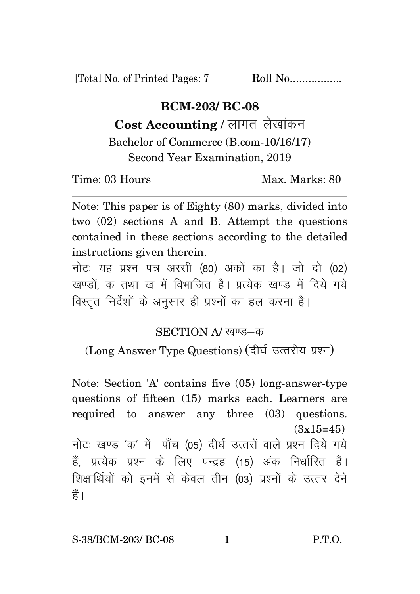[Total No. of Printed Pages: 7 Roll No..................

## **BCM-203/ BC-08**

## **Cost Accounting** / लागत लेखांकन

Bachelor of Commerce (B.com-10/16/17) Second Year Examination, 2019

Time: 03 Hours Max. Marks: 80

Note: This paper is of Eighty (80) marks, divided into two (02) sections A and B. Attempt the questions contained in these sections according to the detailed instructions given therein.

नोट: यह प्रश्न पत्र अस्सी (80) अंकों का है। जो दो (02) खण्डों क तथा ख में विभाजित है। प्रत्येक खण्ड में दिये गये विस्तृत निर्देशों के अनुसार ही प्रश्नों का हल करना है।

## SECTION A/ खण्ड-क

(Long Answer Type Questions) (दीर्घ उत्तरीय प्रश्न)

Note: Section 'A' contains five (05) long-answer-type questions of fifteen (15) marks each. Learners are required to answer any three (03) questions.  $(3x15=45)$ नोट: खण्ड 'क' में पाँच (05) दीर्घ उत्तरों वाले प्रश्न दिये गये हैं, प्रत्येक प्रश्न के लिए पन्द्रह (15) अंक निर्धारित हैं। शिक्षार्थियों को इनमें से केवल तीन (03) प्रश्नों के उत्तर देने हैं ।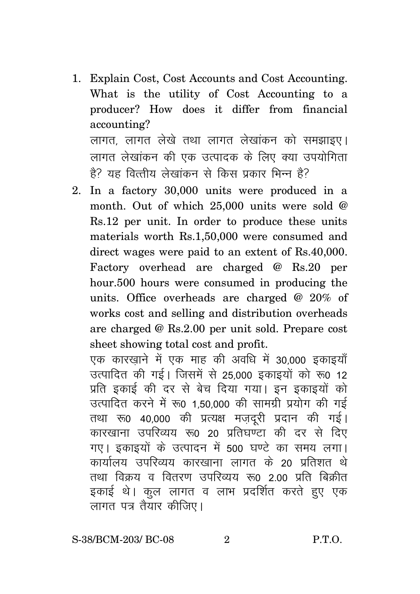- 1. Explain Cost, Cost Accounts and Cost Accounting. What is the utility of Cost Accounting to a producer? How does it differ from financial accounting? लागत, लागत लेखे तथा लागत लेखांकन को समझाइए। लागत लेखांकन की एक उत्पादक के लिए क्या उपयोगिता
- है? यह वित्तीय लेखांकन से किस प्रकार भिन्न है? 2. In a factory 30,000 units were produced in a
- month. Out of which 25,000 units were sold @ Rs.12 per unit. In order to produce these units materials worth Rs.1,50,000 were consumed and direct wages were paid to an extent of Rs.40,000. Factory overhead are charged @ Rs.20 per hour.500 hours were consumed in producing the units. Office overheads are charged @ 20% of works cost and selling and distribution overheads are charged @ Rs.2.00 per unit sold. Prepare cost sheet showing total cost and profit.

एक कारखाने में एक माह की अवधि में 30,000 इकाइयाँ उत्पादित की गई। जिसमें से 25,000 इकाइयों को रू0 12 प्रति इकाई की दर से बेच दिया गया। इन इकाइयों को उत्पादित करने में रू0 1.50.000 की सामग्री प्रयोग की गई तथा रू0 40,000 की प्रत्यक्ष मजदूरी प्रदान की गई। कारखाना उपरिव्यय रू0 20 प्रतिघण्टा की दर से दिए गए। इकाइयों के उत्पादन में 500 घण्टे का समय लगा। कार्यालय उपरिव्यय कारखाना लागत के 20 प्रतिशत थे तथा विक्रय व वितरण उपरिव्यय रू0 2.00 प्रति बिक्रीत इकाई थे। कूल लागत व लाभ प्रदर्शित करते हुए एक लागत पत्र तैयार कीजिए।

S-38/BCM-203/ BC-08 2 P.T.O.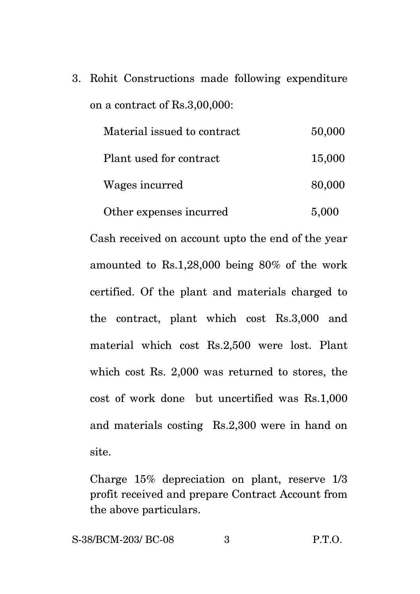3. Rohit Constructions made following expenditure on a contract of Rs.3,00,000:

| Material issued to contract | 50,000 |
|-----------------------------|--------|
| Plant used for contract     | 15,000 |
| Wages incurred              | 80,000 |
| Other expenses incurred     | 5,000  |

Cash received on account upto the end of the year amounted to Rs.1,28,000 being 80% of the work certified. Of the plant and materials charged to the contract, plant which cost Rs.3,000 and material which cost Rs.2,500 were lost. Plant which cost Rs. 2,000 was returned to stores, the cost of work done but uncertified was Rs.1,000 and materials costing Rs.2,300 were in hand on site.

Charge 15% depreciation on plant, reserve 1/3 profit received and prepare Contract Account from the above particulars.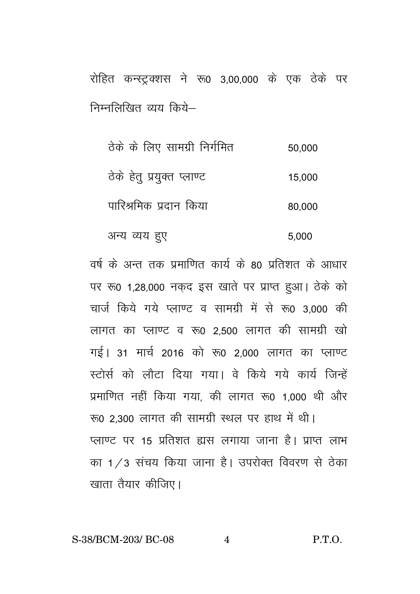रोहित कन्स्ट्रक्शस ने रू0 3,00,000 के एक ठेके पर निम्नलिखित व्यय किये–

तेके के लिए सामग्री निर्गमित 50,000 ठेके हेतु प्रयुक्त प्लाण्ट 15,000 पारिश्रमिक पटान किया 80.000 अन्य व्यय हुए 5.000

वर्ष के अन्त तक पमाणित कार्य के 80 प्रतिशत के आधार पर रू0 1,28,000 नकद इस खाते पर प्राप्त हुआ। ठेके को चार्ज किये गये प्लाण्ट व सामग्री में से रू∩ 3,000 की लागत का प्लाण्ट व रू0 2.500 लागत की सामग्री खो गई। 31 मार्च 2016 को रू0 2.000 लागत का प्लाण्ट स्टोर्स को लौटा दिया गया। वे किये गये कार्य जिन्हें प्रमाणित नहीं किया गया, की लागत रू0 1,000 थी और रू0 2.300 लागत की सामग्री स्थल पर हाथ में थी। प्लाण्ट पर 15 प्रतिशत हास लगाया जाना है। प्राप्त लाभ का 1/3 संचय किया जाना है। उपरोक्त विवरण से ठेका खाता तैयार कीजिए।

S-38/BCM-203/ BC-08  $P.T.O.$  $\overline{4}$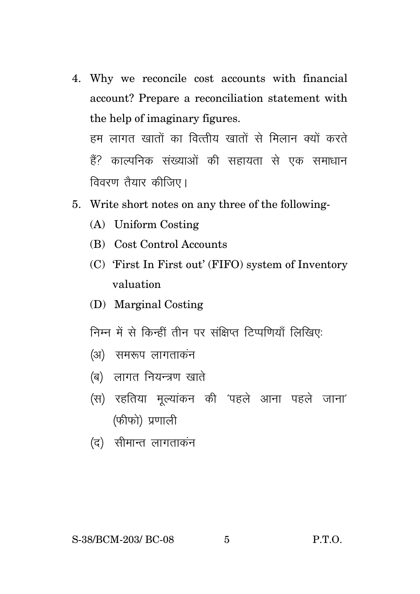4. Why we reconcile cost accounts with financial account? Prepare a reconciliation statement with the help of imaginary figures.

हम लागत खातों का वित्तीय खातों से मिलान क्यों करते हैं? काल्पनिक संख्याओं की सहायता से एक समाधान विवरण तैयार कीजिए।

- 5. Write short notes on any three of the following-
	- (A) Uniform Costing
	- (B) Cost Control Accounts
	- (C) 'First In First out' (FIFO) system of Inventory valuation
	- (D) Marginal Costing
	- निम्न में से किन्हीं तीन पर संक्षिप्त टिप्पणियाँ लिखिए:
	- (अ) समरूप लागताकंन
	- (ब) लागत नियन्त्रण खाते
	- (स) रहतिया मुल्यांकन की 'पहले आना पहले जाना' (फीफो) प्रणाली
	- (द) सीमान्त लागताकंन

 $P.T.O.$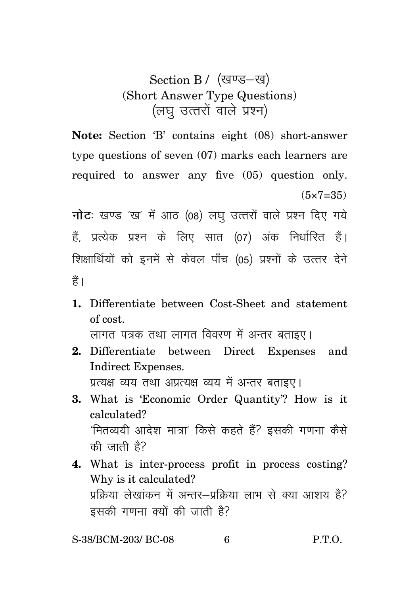## Section B / (खण्ड-ख) (Short Answer Type Questions) (लघु उत्तरों वाले प्रश्न)

**Note:** Section 'B' contains eight (08) short-answer type questions of seven (07) marks each learners are required to answer any five (05) question only.  $(5 \times 7 = 35)$ 

**नोट:** खण्ड 'ख' में आठ (08) लघु उत्तरों वाले प्रश्न दिए गये हैं, प्रत्येक प्रश्न के लिए सात (07) अंक निर्धारित हैं। शिक्षार्थियों को इनमें से केवल पाँच (05) प्रश्नों के उत्तर देने हैं।

**1.** Differentiate between Cost-Sheet and statement of cost.

लागत पत्रक तथा लागत विवरण में अन्तर बताइए।

**2.** Differentiate between Direct Expenses and Indirect Expenses.

प्रत्यक्ष व्यय तथा अप्रत्यक्ष व्यय में अन्तर बताइए।

- **3.** What is 'Economic Order Quantity'? How is it calculated? 'मितव्ययी आदेश मात्रा' किसे कहते हैं? इसकी गणना कैसे की जाती है $\overline{ }$
- **4.** What is inter-process profit in process costing? Why is it calculated? प्रक्रिया लेखांकन में अन्तर–प्रक्रिया लाभ से क्या आशय है? इसकी गणना क्यों की जाती है?